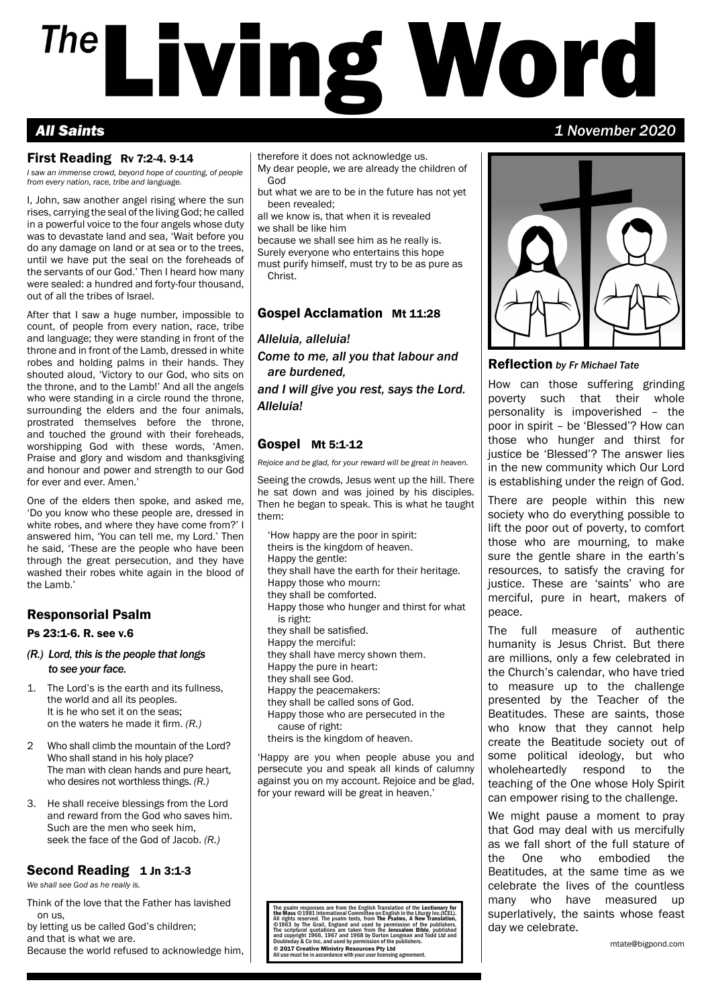# The Living Word *All Saints 1 November 2020*

#### First Reading Rv 7:2-4. 9-14

*I saw an immense crowd, beyond hope of counting, of people from every nation, race, tribe and language.*

I, John, saw another angel rising where the sun rises, carrying the seal of the living God; he called in a powerful voice to the four angels whose duty was to devastate land and sea, 'Wait before you do any damage on land or at sea or to the trees, until we have put the seal on the foreheads of the servants of our God.' Then I heard how many were sealed: a hundred and forty-four thousand, out of all the tribes of Israel.

After that I saw a huge number, impossible to count, of people from every nation, race, tribe and language; they were standing in front of the throne and in front of the Lamb, dressed in white robes and holding palms in their hands. They shouted aloud, 'Victory to our God, who sits on the throne, and to the Lamb!' And all the angels who were standing in a circle round the throne, surrounding the elders and the four animals, prostrated themselves before the throne, and touched the ground with their foreheads, worshipping God with these words, 'Amen. Praise and glory and wisdom and thanksgiving and honour and power and strength to our God for ever and ever. Amen.'

One of the elders then spoke, and asked me, 'Do you know who these people are, dressed in white robes, and where they have come from?' I answered him, 'You can tell me, my Lord.' Then he said, 'These are the people who have been through the great persecution, and they have washed their robes white again in the blood of the Lamb.'

## Responsorial Psalm

Ps 23:1-6. R. see v.6

- *(R.) Lord, this is the people that longs to see your face.*
- The Lord's is the earth and its fullness, the world and all its peoples. It is he who set it on the seas; on the waters he made it firm. *(R.)*
- 2 Who shall climb the mountain of the Lord? Who shall stand in his holy place? The man with clean hands and pure heart, who desires not worthless things. *(R.)*
- 3. He shall receive blessings from the Lord and reward from the God who saves him. Such are the men who seek him, seek the face of the God of Jacob. *(R.)*

# Second Reading 1 Jn 3:1-3

*We shall see God as he really is.*

- Think of the love that the Father has lavished on us,
- by letting us be called God's children; and that is what we are. Because the world refused to acknowledge him,

therefore it does not acknowledge us. My dear people, we are already the children of God

- but what we are to be in the future has not yet been revealed;
- all we know is, that when it is revealed we shall be like him

because we shall see him as he really is.

Surely everyone who entertains this hope must purify himself, must try to be as pure as Christ.

### Gospel Acclamation Mt 11:28

#### *Alleluia, alleluia!*

*Come to me, all you that labour and are burdened,*

*and I will give you rest, says the Lord. Alleluia!*

## Gospel Mt 5:1-12

*Rejoice and be glad, for your reward will be great in heaven.*

Seeing the crowds, Jesus went up the hill. There he sat down and was joined by his disciples. Then he began to speak. This is what he taught them:

'How happy are the poor in spirit: theirs is the kingdom of heaven. Happy the gentle: they shall have the earth for their heritage. Happy those who mourn: they shall be comforted. Happy those who hunger and thirst for what is right: they shall be satisfied. Happy the merciful: they shall have mercy shown them. Happy the pure in heart: they shall see God. Happy the peacemakers: they shall be called sons of God. Happy those who are persecuted in the cause of right: theirs is the kingdom of heaven. 'Happy are you when people abuse you and persecute you and speak all kinds of calumny against you on my account. Rejoice and be glad, for your reward will be great in heaven.'

The psalm responses are from the English Translation of the **Lectionary for**<br>t**he Mass** ©1981 International Committee on English in the Liturgy Inc.(ICEL).<br>All rights reserved. The psalm texts, from The Ps**alms, A New Tran** The scriptural quotations are taken from the **Jerusalem Bible,** published<br>and copyright 1966, 1967 and 1968 by Darton Longman and Todd Ltd and<br>Doubleday & Co Inc, and used by permission of the publishers. © 2017 Creative Ministry Resources Pty Ltd All use must be in accordance with your user licensing agreement.



### Reflection *by Fr Michael Tate*

How can those suffering grinding poverty such that their whole personality is impoverished – the poor in spirit – be 'Blessed'? How can those who hunger and thirst for justice be 'Blessed'? The answer lies in the new community which Our Lord is establishing under the reign of God.

There are people within this new society who do everything possible to lift the poor out of poverty, to comfort those who are mourning, to make sure the gentle share in the earth's resources, to satisfy the craving for justice. These are 'saints' who are merciful, pure in heart, makers of peace.

The full measure of authentic humanity is Jesus Christ. But there are millions, only a few celebrated in the Church's calendar, who have tried to measure up to the challenge presented by the Teacher of the Beatitudes. These are saints, those who know that they cannot help create the Beatitude society out of some political ideology, but who wholeheartedly respond to the teaching of the One whose Holy Spirit can empower rising to the challenge.

We might pause a moment to pray that God may deal with us mercifully as we fall short of the full stature of the One who embodied the Beatitudes, at the same time as we celebrate the lives of the countless many who have measured up superlatively, the saints whose feast day we celebrate.